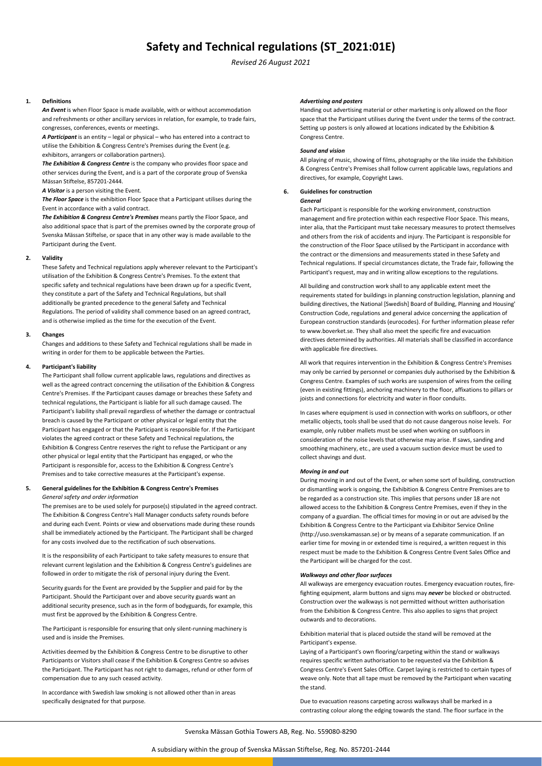# **Safety and Technical regulations (ST\_2021:01E)**

*Revised 26 August 2021*

# **1. Definitions**

*An Event* is when Floor Space is made available, with or without accommodation and refreshments or other ancillary services in relation, for example, to trade fairs, congresses, conferences, events or meetings.

*A Participant* is an entity – legal or physical – who has entered into a contract to utilise the Exhibition & Congress Centre's Premises during the Event (e.g. exhibitors, arrangers or collaboration partners).

*The Exhibition & Congress Centre* is the company who provides floor space and other services during the Event, and is a part of the corporate group of Svenska Mässan Stiftelse, 857201‐2444.

*A Visitor* is a person visiting the Event.

*The Floor Space* is the exhibition Floor Space that a Participant utilises during the Event in accordance with a valid contract.

*The Exhibition & Congress Centre's Premises* means partly the Floor Space, and also additional space that is part of the premises owned by the corporate group of Svenska Mässan Stiftelse, or space that in any other way is made available to the Participant during the Event.

# **2. Validity**

These Safety and Technical regulations apply wherever relevant to the Participant's utilisation of the Exhibition & Congress Centre's Premises. To the extent that specific safety and technical regulations have been drawn up for a specific Event, they constitute a part of the Safety and Technical Regulations, but shall additionally be granted precedence to the general Safety and Technical Regulations. The period of validity shall commence based on an agreed contract, and is otherwise implied as the time for the execution of the Event.

# **3. Changes**

Changes and additions to these Safety and Technical regulations shall be made in writing in order for them to be applicable between the Parties.

# **4. Participant's liability**

The Participant shall follow current applicable laws, regulations and directives as well as the agreed contract concerning the utilisation of the Exhibition & Congress Centre's Premises. If the Participant causes damage or breaches these Safety and technical regulations, the Participant is liable for all such damage caused. The Participant's liability shall prevail regardless of whether the damage or contractual breach is caused by the Participant or other physical or legal entity that the Participant has engaged or that the Participant is responsible for. If the Participant violates the agreed contract or these Safety and Technical regulations, the Exhibition & Congress Centre reserves the right to refuse the Participant or any other physical or legal entity that the Participant has engaged, or who the Participant is responsible for, access to the Exhibition & Congress Centre's Premises and to take corrective measures at the Participant's expense.

# **5. General guidelines for the Exhibition & Congress Centre's Premises** *General safety and order information*

The premises are to be used solely for purpose(s) stipulated in the agreed contract. The Exhibition & Congress Centre's Hall Manager conducts safety rounds before

and during each Event. Points or view and observations made during these rounds shall be immediately actioned by the Participant. The Participant shall be charged for any costs involved due to the rectification of such observations.

It is the responsibility of each Participant to take safety measures to ensure that relevant current legislation and the Exhibition & Congress Centre's guidelines are followed in order to mitigate the risk of personal injury during the Event.

Security guards for the Event are provided by the Supplier and paid for by the Participant. Should the Participant over and above security guards want an additional security presence, such as in the form of bodyguards, for example, this must first be approved by the Exhibition & Congress Centre.

The Participant is responsible for ensuring that only silent-running machinery is used and is inside the Premises.

Activities deemed by the Exhibition & Congress Centre to be disruptive to other Participants or Visitors shall cease if the Exhibition & Congress Centre so advises the Participant. The Participant has not right to damages, refund or other form of compensation due to any such ceased activity.

In accordance with Swedish law smoking is not allowed other than in areas specifically designated for that purpose.

#### *Advertising and posters*

Handing out advertising material or other marketing is only allowed on the floor space that the Participant utilises during the Event under the terms of the contract. Setting up posters is only allowed at locations indicated by the Exhibition & Congress Centre.

# *Sound and vision*

All playing of music, showing of films, photography or the like inside the Exhibition & Congress Centre's Premises shall follow current applicable laws, regulations and directives, for example, Copyright Laws.

# **6. Guidelines for construction**

#### *General*

Each Participant is responsible for the working environment, construction management and fire protection within each respective Floor Space. This means, inter alia, that the Participant must take necessary measures to protect themselves and others from the risk of accidents and injury. The Participant is responsible for the construction of the Floor Space utilised by the Participant in accordance with the contract or the dimensions and measurements stated in these Safety and Technical regulations. If special circumstances dictate, the Trade fair, following the Participant's request, may and in writing allow exceptions to the regulations.

All building and construction work shall to any applicable extent meet the requirements stated for buildings in planning construction legislation, planning and building directives, the National [Swedish] Board of Building, Planning and Housing' Construction Code, regulations and general advice concerning the application of European construction standards (eurocodes). For further information please refer to www.boverket.se. They shall also meet the specific fire and evacuation directives determined by authorities. All materials shall be classified in accordance with applicable fire directives.

All work that requires intervention in the Exhibition & Congress Centre's Premises may only be carried by personnel or companies duly authorised by the Exhibition & Congress Centre. Examples of such works are suspension of wires from the ceiling (even in existing fittings), anchoring machinery to the floor, affixations to pillars or joists and connections for electricity and water in floor conduits.

In cases where equipment is used in connection with works on subfloors, or other metallic objects, tools shall be used that do not cause dangerous noise levels. For example, only rubber mallets must be used when working on subfloors in consideration of the noise levels that otherwise may arise. If saws, sanding and smoothing machinery, etc., are used a vacuum suction device must be used to collect shavings and dust.

#### *Moving in and out*

During moving in and out of the Event, or when some sort of building, construction or dismantling work is ongoing, the Exhibition & Congress Centre Premises are to be regarded as a construction site. This implies that persons under 18 are not allowed access to the Exhibition & Congress Centre Premises, even if they in the company of a guardian. The official times for moving in or out are advised by the Exhibition & Congress Centre to the Participant via Exhibitor Service Online (http://uso.svenskamassan.se) or by means of a separate communication. If an earlier time for moving in or extended time is required, a written request in this respect must be made to the Exhibition & Congress Centre Event Sales Office and the Participant will be charged for the cost.

# *Walkways and other floor surfaces*

All walkways are emergency evacuation routes. Emergency evacuation routes, fire‐ fighting equipment, alarm buttons and signs may *never* be blocked or obstructed. Construction over the walkways is not permitted without written authorisation from the Exhibition & Congress Centre. This also applies to signs that project outwards and to decorations.

Exhibition material that is placed outside the stand will be removed at the Participant's expense.

Laying of a Participant's own flooring/carpeting within the stand or walkways requires specific written authorisation to be requested via the Exhibition & Congress Centre's Event Sales Office. Carpet laying is restricted to certain types of weave only. Note that all tape must be removed by the Participant when vacating the stand.

Due to evacuation reasons carpeting across walkways shall be marked in a contrasting colour along the edging towards the stand. The floor surface in the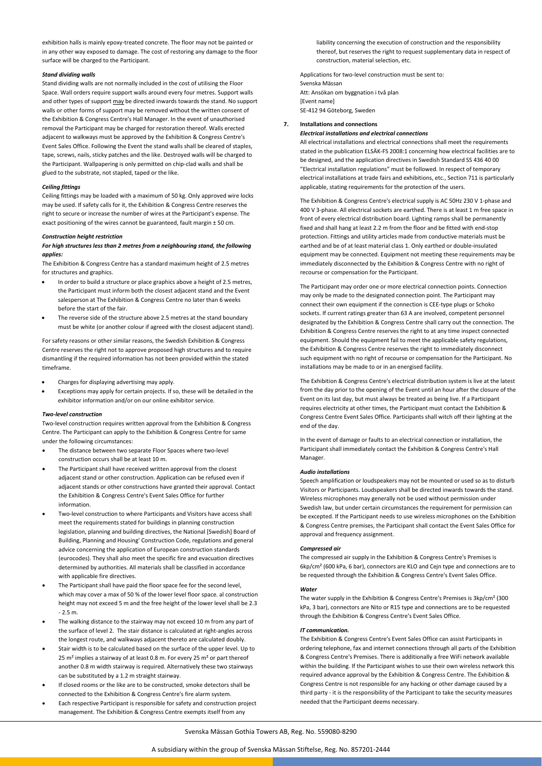exhibition halls is mainly epoxy-treated concrete. The floor may not be painted or in any other way exposed to damage. The cost of restoring any damage to the floor surface will be charged to the Participant.

# *Stand dividing walls*

Stand dividing walls are not normally included in the cost of utilising the Floor Space. Wall orders require support walls around every four metres. Support walls and other types of support may be directed inwards towards the stand. No support walls or other forms of support may be removed without the written consent of the Exhibition & Congress Centre's Hall Manager. In the event of unauthorised removal the Participant may be charged for restoration thereof. Walls erected adjacent to walkways must be approved by the Exhibition & Congress Centre's Event Sales Office. Following the Event the stand walls shall be cleared of staples, tape, screws, nails, sticky patches and the like. Destroyed walls will be charged to the Participant. Wallpapering is only permitted on chip‐clad walls and shall be glued to the substrate, not stapled, taped or the like.

# *Ceiling fittings*

Ceiling fittings may be loaded with a maximum of 50 kg. Only approved wire locks may be used. If safety calls for it, the Exhibition & Congress Centre reserves the right to secure or increase the number of wires at the Participant's expense. The exact positioning of the wires cannot be guaranteed, fault margin ± 50 cm.

# *Construction height restriction*

# *For high structures less than 2 metres from a neighbouring stand, the following applies:*

The Exhibition & Congress Centre has a standard maximum height of 2.5 metres for structures and graphics.

- In order to build a structure or place graphics above a height of 2.5 metres, the Participant must inform both the closest adjacent stand and the Event salesperson at The Exhibition & Congress Centre no later than 6 weeks before the start of the fair.
- The reverse side of the structure above 2.5 metres at the stand boundary must be white (or another colour if agreed with the closest adjacent stand).

For safety reasons or other similar reasons, the Swedish Exhibition & Congress Centre reserves the right not to approve proposed high structures and to require dismantling if the required information has not been provided within the stated timeframe.

- Charges for displaying advertising may apply.
- Exceptions may apply for certain projects. If so, these will be detailed in the exhibitor information and/or on our online exhibitor service.

#### *Two‐level construction*

Two‐level construction requires written approval from the Exhibition & Congress Centre. The Participant can apply to the Exhibition & Congress Centre for same under the following circumstances:

- The distance between two separate Floor Spaces where two‐level construction occurs shall be at least 10 m.
- The Participant shall have received written approval from the closest adjacent stand or other construction. Application can be refused even if adjacent stands or other constructions have granted their approval. Contact the Exhibition & Congress Centre's Event Sales Office for further information.
- Two‐level construction to where Participants and Visitors have access shall meet the requirements stated for buildings in planning construction legislation, planning and building directives, the National [Swedish] Board of Building, Planning and Housing' Construction Code, regulations and general advice concerning the application of European construction standards (eurocodes). They shall also meet the specific fire and evacuation directives determined by authorities. All materials shall be classified in accordance with applicable fire directives.
- The Participant shall have paid the floor space fee for the second level, which may cover a max of 50 % of the lower level floor space. al construction height may not exceed 5 m and the free height of the lower level shall be 2.3  $-2.5 m$
- The walking distance to the stairway may not exceed 10 m from any part of the surface of level 2. The stair distance is calculated at right‐angles across the longest route, and walkways adjacent thereto are calculated doubly.
- Stair width is to be calculated based on the surface of the upper level. Up to 25 m<sup>2</sup> implies a stairway of at least 0.8 m. For every 25 m<sup>2</sup> or part thereof another 0.8 m width stairway is required. Alternatively these two stairways can be substituted by a 1.2 m straight stairway.
- If closed rooms or the like are to be constructed, smoke detectors shall be connected to the Exhibition & Congress Centre's fire alarm system.
- Each respective Participant is responsible for safety and construction project management. The Exhibition & Congress Centre exempts itself from any

liability concerning the execution of construction and the responsibility thereof, but reserves the right to request supplementary data in respect of construction, material selection, etc.

Applications for two‐level construction must be sent to: Svenska Mässan Att: Ansökan om byggnation i två plan [Event name] SE‐412 94 Göteborg, Sweden

# **7. Installations and connections** *Electrical installations and electrical connections*

All electrical installations and electrical connections shall meet the requirements stated in the publication ELSÄK‐FS 2008:1 concerning how electrical facilities are to be designed, and the application directives in Swedish Standard SS 436 40 00 "Electrical installation regulations" must be followed. In respect of temporary electrical installations at trade fairs and exhibitions, etc., Section 711 is particularly applicable, stating requirements for the protection of the users.

The Exhibition & Congress Centre's electrical supply is AC 50Hz 230 V 1‐phase and 400 V 3‐phase. All electrical sockets are earthed. There is at least 1 m free space in front of every electrical distribution board. Lighting ramps shall be permanently fixed and shall hang at least 2.2 m from the floor and be fitted with end‐stop protection. Fittings and utility articles made from conductive materials must be earthed and be of at least material class 1. Only earthed or double‐insulated equipment may be connected. Equipment not meeting these requirements may be immediately disconnected by the Exhibition & Congress Centre with no right of recourse or compensation for the Participant.

The Participant may order one or more electrical connection points. Connection may only be made to the designated connection point. The Participant may connect their own equipment if the connection is CEE‐type plugs or Schoko sockets. If current ratings greater than 63 A are involved, competent personnel designated by the Exhibition & Congress Centre shall carry out the connection. The Exhibition & Congress Centre reserves the right to at any time inspect connected equipment. Should the equipment fail to meet the applicable safety regulations, the Exhibition & Congress Centre reserves the right to immediately disconnect such equipment with no right of recourse or compensation for the Participant. No installations may be made to or in an energised facility.

The Exhibition & Congress Centre's electrical distribution system is live at the latest from the day prior to the opening of the Event until an hour after the closure of the Event on its last day, but must always be treated as being live. If a Participant requires electricity at other times, the Participant must contact the Exhibition & Congress Centre Event Sales Office. Participants shall witch off their lighting at the end of the day.

In the event of damage or faults to an electrical connection or installation, the Participant shall immediately contact the Exhibition & Congress Centre's Hall Manager.

# *Audio installations*

Speech amplification or loudspeakers may not be mounted or used so as to disturb Visitors or Participants. Loudspeakers shall be directed inwards towards the stand. Wireless microphones may generally not be used without permission under Swedish law, but under certain circumstances the requirement for permission can be excepted. If the Participant needs to use wireless microphones on the Exhibition & Congress Centre premises, the Participant shall contact the Event Sales Office for approval and frequency assignment.

# *Compressed air*

The compressed air supply in the Exhibition & Congress Centre's Premises is 6kp/cm² (600 kPa, 6 bar), connectors are KLO and Cejn type and connections are to be requested through the Exhibition & Congress Centre's Event Sales Office.

#### *Water*

The water supply in the Exhibition & Congress Centre's Premises is 3kp/cm² (300 kPa, 3 bar), connectors are Nito or R15 type and connections are to be requested through the Exhibition & Congress Centre's Event Sales Office.

# *IT communication.*

The Exhibition & Congress Centre's Event Sales Office can assist Participants in ordering telephone, fax and internet connections through all parts of the Exhibition & Congress Centre's Premises. There is additionally a free WiFi network available within the building. If the Participant wishes to use their own wireless network this required advance approval by the Exhibition & Congress Centre. The Exhibition & Congress Centre is not responsible for any hacking or other damage caused by a third party ‐ it is the responsibility of the Participant to take the security measures needed that the Participant deems necessary.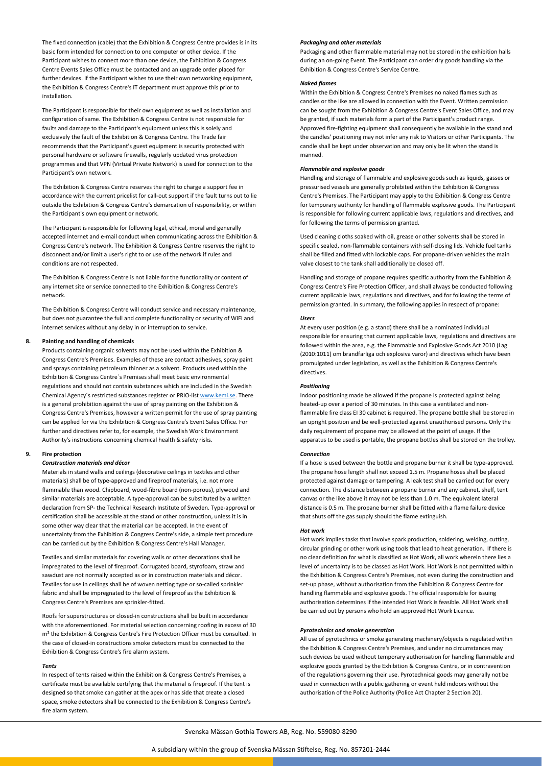The fixed connection (cable) that the Exhibition & Congress Centre provides is in its basic form intended for connection to one computer or other device. If the Participant wishes to connect more than one device, the Exhibition & Congress Centre Events Sales Office must be contacted and an upgrade order placed for further devices. If the Participant wishes to use their own networking equipment, the Exhibition & Congress Centre's IT department must approve this prior to installation.

The Participant is responsible for their own equipment as well as installation and configuration of same. The Exhibition & Congress Centre is not responsible for faults and damage to the Participant's equipment unless this is solely and exclusively the fault of the Exhibition & Congress Centre. The Trade fair recommends that the Participant's guest equipment is security protected with personal hardware or software firewalls, regularly updated virus protection programmes and that VPN (Virtual Private Network) is used for connection to the Participant's own network.

The Exhibition & Congress Centre reserves the right to charge a support fee in accordance with the current pricelist for call‐out support if the fault turns out to lie outside the Exhibition & Congress Centre's demarcation of responsibility, or within the Participant's own equipment or network.

The Participant is responsible for following legal, ethical, moral and generally accepted internet and e-mail conduct when communicating across the Exhibition & Congress Centre's network. The Exhibition & Congress Centre reserves the right to disconnect and/or limit a user's right to or use of the network if rules and conditions are not respected.

The Exhibition & Congress Centre is not liable for the functionality or content of any internet site or service connected to the Exhibition & Congress Centre's network.

The Exhibition & Congress Centre will conduct service and necessary maintenance, but does not guarantee the full and complete functionality or security of WiFi and internet services without any delay in or interruption to service.

# **8. Painting and handling of chemicals**

Products containing organic solvents may not be used within the Exhibition & Congress Centre's Premises. Examples of these are contact adhesives, spray paint and sprays containing petroleum thinner as a solvent. Products used within the Exhibition & Congress Centre´s Premises shall meet basic environmental regulations and should not contain substances which are included in the Swedish Chemical Agency´s restricted substances register or PRIO‐list www.kemi.se. There is a general prohibition against the use of spray painting on the Exhibition & Congress Centre's Premises, however a written permit for the use of spray painting can be applied for via the Exhibition & Congress Centre's Event Sales Office. For further and directives refer to, for example, the Swedish Work Environment Authority's instructions concerning chemical health & safety risks.

# **9. Fire protection**

# *Construction materials and décor*

Materials in stand walls and ceilings (decorative ceilings in textiles and other materials) shall be of type‐approved and fireproof materials, i.e. not more flammable than wood. Chipboard, wood‐fibre board (non‐porous), plywood and similar materials are acceptable. A type‐approval can be substituted by a written declaration from SP‐ the Technical Research Institute of Sweden. Type‐approval or certification shall be accessible at the stand or other construction, unless it is in some other way clear that the material can be accepted. In the event of uncertainty from the Exhibition & Congress Centre's side, a simple test procedure can be carried out by the Exhibition & Congress Centre's Hall Manager.

Textiles and similar materials for covering walls or other decorations shall be impregnated to the level of fireproof. Corrugated board, styrofoam, straw and sawdust are not normally accepted as or in construction materials and décor. Textiles for use in ceilings shall be of woven netting type or so-called sprinkler fabric and shall be impregnated to the level of fireproof as the Exhibition & Congress Centre's Premises are sprinkler‐fitted.

Roofs for superstructures or closed‐in constructions shall be built in accordance with the aforementioned. For material selection concerning roofing in excess of 30 m² the Exhibition & Congress Centre's Fire Protection Officer must be consulted. In the case of closed‐in constructions smoke detectors must be connected to the Exhibition & Congress Centre's fire alarm system.

#### *Tents*

In respect of tents raised within the Exhibition & Congress Centre's Premises, a certificate must be available certifying that the material is fireproof. If the tent is designed so that smoke can gather at the apex or has side that create a closed space, smoke detectors shall be connected to the Exhibition & Congress Centre's fire alarm system.

#### *Packaging and other materials*

Packaging and other flammable material may not be stored in the exhibition halls during an on‐going Event. The Participant can order dry goods handling via the Exhibition & Congress Centre's Service Centre.

# *Naked flames*

Within the Exhibition & Congress Centre's Premises no naked flames such as candles or the like are allowed in connection with the Event. Written permission can be sought from the Exhibition & Congress Centre's Event Sales Office, and may be granted, if such materials form a part of the Participant's product range. Approved fire‐fighting equipment shall consequently be available in the stand and the candles' positioning may not infer any risk to Visitors or other Participants. The candle shall be kept under observation and may only be lit when the stand is manned.

#### *Flammable and explosive goods*

Handling and storage of flammable and explosive goods such as liquids, gasses or pressurised vessels are generally prohibited within the Exhibition & Congress Centre's Premises. The Participant may apply to the Exhibition & Congress Centre for temporary authority for handling of flammable explosive goods. The Participant is responsible for following current applicable laws, regulations and directives, and for following the terms of permission granted.

Used cleaning cloths soaked with oil, grease or other solvents shall be stored in specific sealed, non‐flammable containers with self‐closing lids. Vehicle fuel tanks shall be filled and fitted with lockable caps. For propane‐driven vehicles the main valve closest to the tank shall additionally be closed off.

Handling and storage of propane requires specific authority from the Exhibition & Congress Centre's Fire Protection Officer, and shall always be conducted following current applicable laws, regulations and directives, and for following the terms of permission granted. In summary, the following applies in respect of propane:

#### *Users*

At every user position (e.g. a stand) there shall be a nominated individual responsible for ensuring that current applicable laws, regulations and directives are followed within the area, e.g. the Flammable and Explosive Goods Act 2010 (Lag (2010:1011) om brandfarliga och explosiva varor) and directives which have been promulgated under legislation, as well as the Exhibition & Congress Centre's directives.

#### *Positioning*

Indoor positioning made be allowed if the propane is protected against being heated-up over a period of 30 minutes. In this case a ventilated and nonflammable fire class EI 30 cabinet is required. The propane bottle shall be stored in an upright position and be well-protected against unauthorised persons. Only the daily requirement of propane may be allowed at the point of usage. If the apparatus to be used is portable, the propane bottles shall be stored on the trolley.

#### *Connection*

If a hose is used between the bottle and propane burner it shall be type-approved. The propane hose length shall not exceed 1.5 m. Propane hoses shall be placed protected against damage or tampering. A leak test shall be carried out for every connection. The distance between a propane burner and any cabinet, shelf, tent canvas or the like above it may not be less than 1.0 m. The equivalent lateral distance is 0.5 m. The propane burner shall be fitted with a flame failure device that shuts off the gas supply should the flame extinguish.

# *Hot work*

Hot work implies tasks that involve spark production, soldering, welding, cutting, circular grinding or other work using tools that lead to heat generation. If there is no clear definition for what is classified as Hot Work, all work wherein there lies a level of uncertainty is to be classed as Hot Work. Hot Work is not permitted within the Exhibition & Congress Centre's Premises, not even during the construction and set-up phase, without authorisation from the Exhibition & Congress Centre for handling flammable and explosive goods. The official responsible for issuing authorisation determines if the intended Hot Work is feasible. All Hot Work shall be carried out by persons who hold an approved Hot Work Licence.

# *Pyrotechnics and smoke generation*

All use of pyrotechnics or smoke generating machinery/objects is regulated within the Exhibition & Congress Centre's Premises, and under no circumstances may such devices be used without temporary authorisation for handling flammable and explosive goods granted by the Exhibition & Congress Centre, or in contravention of the regulations governing their use. Pyrotechnical goods may generally not be used in connection with a public gathering or event held indoors without the authorisation of the Police Authority (Police Act Chapter 2 Section 20).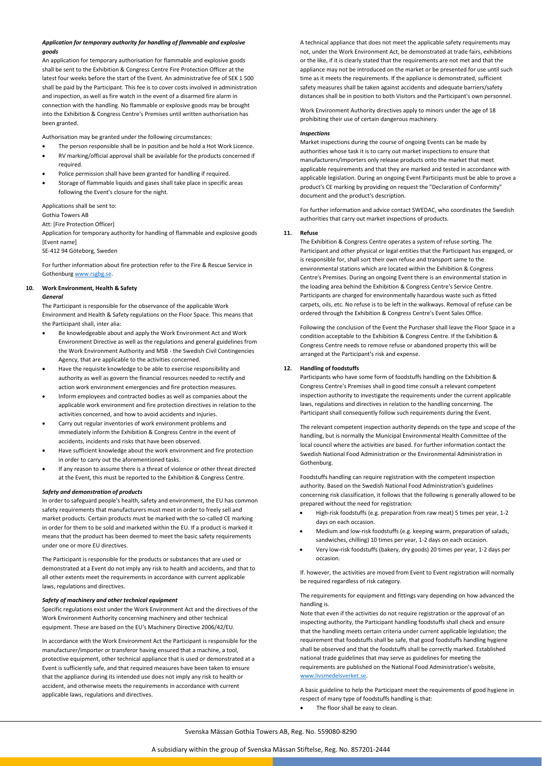# *Application for temporary authority for handling of flammable and explosive goods*

An application for temporary authorisation for flammable and explosive goods shall be sent to the Exhibition & Congress Centre Fire Protection Officer at the latest four weeks before the start of the Event. An administrative fee of SEK 1 500 shall be paid by the Participant. This fee is to cover costs involved in administration and inspection, as well as fire watch in the event of a disarmed fire alarm in connection with the handling. No flammable or explosive goods may be brought into the Exhibition & Congress Centre's Premises until written authorisation has been granted.

Authorisation may be granted under the following circumstances:

- The person responsible shall be in position and be hold a Hot Work Licence.
- RV marking/official approval shall be available for the products concerned if required.
- Police permission shall have been granted for handling if required.
- Storage of flammable liquids and gases shall take place in specific areas following the Event's closure for the night.

Applications shall be sent to:

#### Gothia Towers AB

Att: [Fire Protection Officer]

Application for temporary authority for handling of flammable and explosive goods [Event name]

SE‐412 94 Göteborg, Sweden

For further information about fire protection refer to the Fire & Rescue Service in Gothenburg www.rsgbg.se.

# **10. Work Environment, Health & Safety**

# *General*

The Participant is responsible for the observance of the applicable Work Environment and Health & Safety regulations on the Floor Space. This means that the Participant shall, inter alia:

- Be knowledgeable about and apply the Work Environment Act and Work Environment Directive as well as the regulations and general guidelines from the Work Environment Authority and MSB ‐ the Swedish Civil Contingencies Agency, that are applicable to the activities concerned.
- Have the requisite knowledge to be able to exercise responsibility and authority as well as govern the financial resources needed to rectify and action work environment emergencies and fire protection measures.
- Inform employees and contracted bodies as well as companies about the applicable work environment and fire protection directives in relation to the activities concerned, and how to avoid accidents and injuries.
- Carry out regular inventories of work environment problems and immediately inform the Exhibition & Congress Centre in the event of accidents, incidents and risks that have been observed.
- Have sufficient knowledge about the work environment and fire protection in order to carry out the aforementioned tasks.
- If any reason to assume there is a threat of violence or other threat directed at the Event, this must be reported to the Exhibition & Congress Centre.

# *Safety and demonstration of products*

In order to safeguard people's health, safety and environment, the EU has common safety requirements that manufacturers must meet in order to freely sell and market products. Certain products must be marked with the so-called CE marking in order for them to be sold and marketed within the EU. If a product is marked it means that the product has been deemed to meet the basic safety requirements under one or more EU directives.

The Participant is responsible for the products or substances that are used or demonstrated at a Event do not imply any risk to health and accidents, and that to all other extents meet the requirements in accordance with current applicable laws, regulations and directives.

# *Safety of machinery and other technical equipment*

Specific regulations exist under the Work Environment Act and the directives of the Work Environment Authority concerning machinery and other technical equipment. These are based on the EU's Machinery Directive 2006/42/EU.

In accordance with the Work Environment Act the Participant is responsible for the manufacturer/importer or transferor having ensured that a machine, a tool, protective equipment, other technical appliance that is used or demonstrated at a Event is sufficiently safe, and that required measures have been taken to ensure that the appliance during its intended use does not imply any risk to health or accident, and otherwise meets the requirements in accordance with current applicable laws, regulations and directives.

A technical appliance that does not meet the applicable safety requirements may not, under the Work Environment Act, be demonstrated at trade fairs, exhibitions or the like, if it is clearly stated that the requirements are not met and that the appliance may not be introduced on the market or be presented for use until such time as it meets the requirements. If the appliance is demonstrated, sufficient safety measures shall be taken against accidents and adequate barriers/safety distances shall be in position to both Visitors and the Participant's own personnel.

Work Environment Authority directives apply to minors under the age of 18 prohibiting their use of certain dangerous machinery.

#### *Inspections*

Market inspections during the course of ongoing Events can be made by authorities whose task it is to carry out market inspections to ensure that manufacturers/importers only release products onto the market that meet applicable requirements and that they are marked and tested in accordance with applicable legislation. During an ongoing Event Participants must be able to prove a product's CE marking by providing on request the "Declaration of Conformity" document and the product's description.

For further information and advice contact SWEDAC, who coordinates the Swedish authorities that carry out market inspections of products.

# **11. Refuse**

The Exhibition & Congress Centre operates a system of refuse sorting. The Participant and other physical or legal entities that the Participant has engaged, or is responsible for, shall sort their own refuse and transport same to the environmental stations which are located within the Exhibition & Congress Centre's Premises. During an ongoing Event there is an environmental station in the loading area behind the Exhibition & Congress Centre's Service Centre. Participants are charged for environmentally hazardous waste such as fitted carpets, oils, etc. No refuse is to be left in the walkways. Removal of refuse can be ordered through the Exhibition & Congress Centre's Event Sales Office.

Following the conclusion of the Event the Purchaser shall leave the Floor Space in a condition acceptable to the Exhibition & Congress Centre. If the Exhibition & Congress Centre needs to remove refuse or abandoned property this will be arranged at the Participant's risk and expense.

# **12. Handling of foodstuffs**

Participants who have some form of foodstuffs handling on the Exhibition & Congress Centre's Premises shall in good time consult a relevant competent inspection authority to investigate the requirements under the current applicable laws, regulations and directives in relation to the handling concerning. The Participant shall consequently follow such requirements during the Event.

The relevant competent inspection authority depends on the type and scope of the handling, but is normally the Municipal Environmental Health Committee of the local council where the activities are based. For further information contact the Swedish National Food Administration or the Environmental Administration in Gothenburg.

Foodstuffs handling can require registration with the competent inspection authority. Based on the Swedish National Food Administration's guidelines concerning risk classification, it follows that the following is generally allowed to be prepared without the need for registration:

- High‐risk foodstuffs (e.g. preparation from raw meat) 5 times per year, 1‐2 days on each occasion.
- Medium and low‐risk foodstuffs (e.g. keeping warm, preparation of salads, sandwiches, chilling) 10 times per year, 1‐2 days on each occasion.
- Very low‐risk foodstuffs (bakery, dry goods) 20 times per year, 1‐2 days per occasion.

If. however, the activities are moved from Event to Event registration will normally be required regardless of risk category.

The requirements for equipment and fittings vary depending on how advanced the handling is.

Note that even if the activities do not require registration or the approval of an inspecting authority, the Participant handling foodstuffs shall check and ensure that the handling meets certain criteria under current applicable legislation; the requirement that foodstuffs shall be safe, that good foodstuffs handling hygiene shall be observed and that the foodstuffs shall be correctly marked. Established national trade guidelines that may serve as guidelines for meeting the requirements are published on the National Food Administration's website, www.livsmedelsverket.se.

A basic guideline to help the Participant meet the requirements of good hygiene in respect of many type of foodstuffs handling is that:

The floor shall be easy to clean.